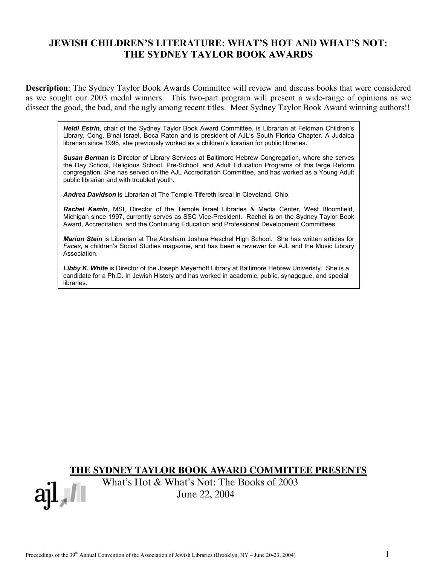# **JEWISH CHILDREN'S LITERATURE: WHAT'S HOT AND WHAT'S NOT: THE SYDNEY TAYLOR BOOK AWARDS**

**Description**: The Sydney Taylor Book Awards Committee will review and discuss books that were considered as we sought our 2003 medal winners. This two-part program will present a wide-range of opinions as we dissect the good, the bad, and the ugly among recent titles. Meet Sydney Taylor Book Award winning authors!!

*Heidi Estrin*, chair of the Sydney Taylor Book Award Committee, is Librarian at Feldman Children's Library, Cong. B'nai Israel, Boca Raton and is president of AJL's South Florida Chapter. A Judaica librarian since 1998, she previously worked as a children's librarian for public libraries.

*Susan Berm***an** is Director of Library Services at Baltimore Hebrew Congregation, where she serves the Day School, Religious School, Pre-School, and Adult Education Programs of this large Reform congregation. She has served on the AJL Accreditation Committee, and has worked as a Young Adult public librarian and with troubled youth.

*Andrea Davidson* is Librarian at The Temple-Tifereth Isreal in Cleveland, Ohio.

*Rachel Kamin*, MSI, Director of the Temple Israel Libraries & Media Center, West Bloomfield, Michigan since 1997, currently serves as SSC Vice-President. Rachel is on the Sydney Taylor Book Award, Accreditation, and the Continuing Education and Professional Development Committees

*Marion Stein* is Librarian at The Abraham Joshua Heschel High School. She has written articles for *Faces*, a children's Social Studies magazine, and has been a reviewer for AJL and the Music Library Association.

*Libby K. White* is Director of the Joseph Meyerhoff Library at Baltimore Hebrew Univeristy. She is a candidate for a Ph.D. In Jewish History and has worked in academic, public, synagogue, and special libraries.

**THE SYDNEY TAYLOR BOOK AWARD COMMITTEE PRESENTS**

 What's Hot & What's Not: The Books of 2003 June 22, 2004